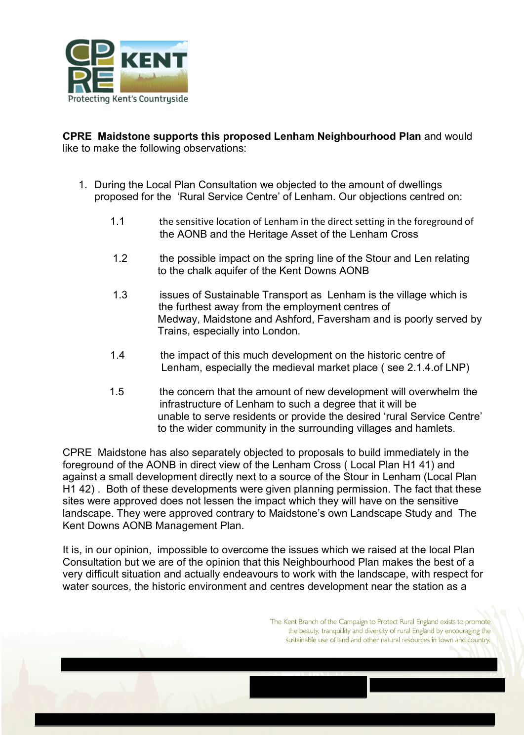

**CPRE Maidstone supports this proposed Lenham Neighbourhood Plan** and would like to make the following observations:

- 1. During the Local Plan Consultation we objected to the amount of dwellings proposed for the 'Rural Service Centre' of Lenham. Our objections centred on:
	- 1.1 the sensitive location of Lenham in the direct setting in the foreground of the AONB and the Heritage Asset of the Lenham Cross
	- 1.2 the possible impact on the spring line of the Stour and Len relating to the chalk aquifer of the Kent Downs AONB
	- 1.3 issues of Sustainable Transport as Lenham is the village which is the furthest away from the employment centres of Medway, Maidstone and Ashford, Faversham and is poorly served by Trains, especially into London.
	- 1.4 the impact of this much development on the historic centre of Lenham, especially the medieval market place ( see 2.1.4.of LNP)
	- 1.5 the concern that the amount of new development will overwhelm the infrastructure of Lenham to such a degree that it will be unable to serve residents or provide the desired 'rural Service Centre' to the wider community in the surrounding villages and hamlets.

CPRE Maidstone has also separately objected to proposals to build immediately in the foreground of the AONB in direct view of the Lenham Cross ( Local Plan H1 41) and against a small development directly next to a source of the Stour in Lenham (Local Plan H1 42) . Both of these developments were given planning permission. The fact that these sites were approved does not lessen the impact which they will have on the sensitive landscape. They were approved contrary to Maidstone's own Landscape Study and The Kent Downs AONB Management Plan.

It is, in our opinion, impossible to overcome the issues which we raised at the local Plan Consultation but we are of the opinion that this Neighbourhood Plan makes the best of a very difficult situation and actually endeavours to work with the landscape, with respect for water sources, the historic environment and centres development near the station as a

> The Kent Branch of the Campaign to Protect Rural England exists to promote the beauty, tranquillity and diversity of rural England by encouraging the sustainable use of land and other natural resources in town and country.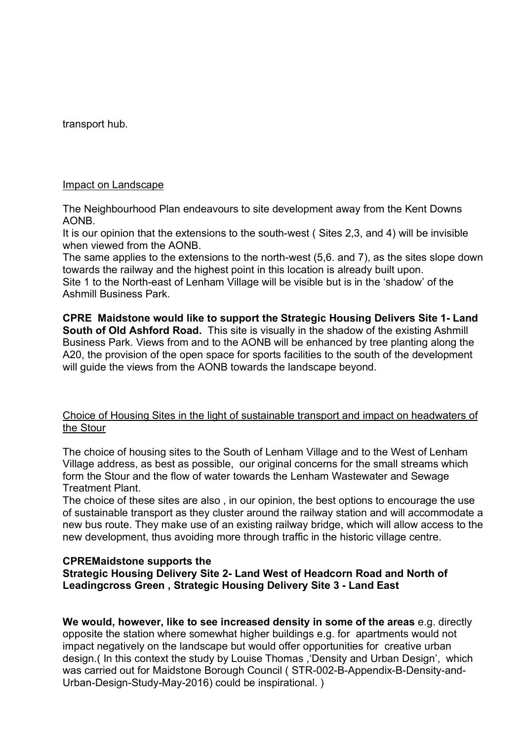transport hub.

#### Impact on Landscape

The Neighbourhood Plan endeavours to site development away from the Kent Downs AONB.

It is our opinion that the extensions to the south-west ( Sites 2,3, and 4) will be invisible when viewed from the AONB.

The same applies to the extensions to the north-west (5,6. and 7), as the sites slope down towards the railway and the highest point in this location is already built upon.

Site 1 to the North-east of Lenham Village will be visible but is in the 'shadow' of the Ashmill Business Park.

**CPRE Maidstone would like to support the Strategic Housing Delivers Site 1- Land South of Old Ashford Road.** This site is visually in the shadow of the existing Ashmill Business Park. Views from and to the AONB will be enhanced by tree planting along the A20, the provision of the open space for sports facilities to the south of the development will guide the views from the AONB towards the landscape beyond.

# Choice of Housing Sites in the light of sustainable transport and impact on headwaters of the Stour

The choice of housing sites to the South of Lenham Village and to the West of Lenham Village address, as best as possible, our original concerns for the small streams which form the Stour and the flow of water towards the Lenham Wastewater and Sewage Treatment Plant.

The choice of these sites are also , in our opinion, the best options to encourage the use of sustainable transport as they cluster around the railway station and will accommodate a new bus route. They make use of an existing railway bridge, which will allow access to the new development, thus avoiding more through traffic in the historic village centre.

#### **CPREMaidstone supports the**

# **Strategic Housing Delivery Site 2- Land West of Headcorn Road and North of Leadingcross Green , Strategic Housing Delivery Site 3 - Land East**

**We would, however, like to see increased density in some of the areas** e.g. directly opposite the station where somewhat higher buildings e.g. for apartments would not impact negatively on the landscape but would offer opportunities for creative urban design.( In this context the study by Louise Thomas ,'Density and Urban Design', which was carried out for Maidstone Borough Council ( STR-002-B-Appendix-B-Density-and-Urban-Design-Study-May-2016) could be inspirational. )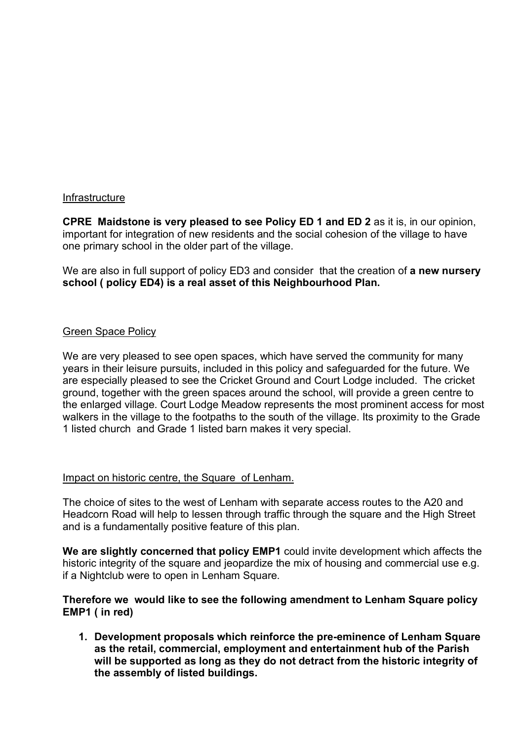# Infrastructure

**CPRE Maidstone is very pleased to see Policy ED 1 and ED 2** as it is, in our opinion, important for integration of new residents and the social cohesion of the village to have one primary school in the older part of the village.

We are also in full support of policy ED3 and consider that the creation of **a new nursery school ( policy ED4) is a real asset of this Neighbourhood Plan.** 

#### Green Space Policy

We are very pleased to see open spaces, which have served the community for many years in their leisure pursuits, included in this policy and safeguarded for the future. We are especially pleased to see the Cricket Ground and Court Lodge included. The cricket ground, together with the green spaces around the school, will provide a green centre to the enlarged village. Court Lodge Meadow represents the most prominent access for most walkers in the village to the footpaths to the south of the village. Its proximity to the Grade 1 listed church and Grade 1 listed barn makes it very special.

# Impact on historic centre, the Square of Lenham.

The choice of sites to the west of Lenham with separate access routes to the A20 and Headcorn Road will help to lessen through traffic through the square and the High Street and is a fundamentally positive feature of this plan.

**We are slightly concerned that policy EMP1** could invite development which affects the historic integrity of the square and jeopardize the mix of housing and commercial use e.g. if a Nightclub were to open in Lenham Square.

#### **Therefore we would like to see the following amendment to Lenham Square policy EMP1 ( in red)**

**1. Development proposals which reinforce the pre-eminence of Lenham Square as the retail, commercial, employment and entertainment hub of the Parish will be supported as long as they do not detract from the historic integrity of the assembly of listed buildings.**